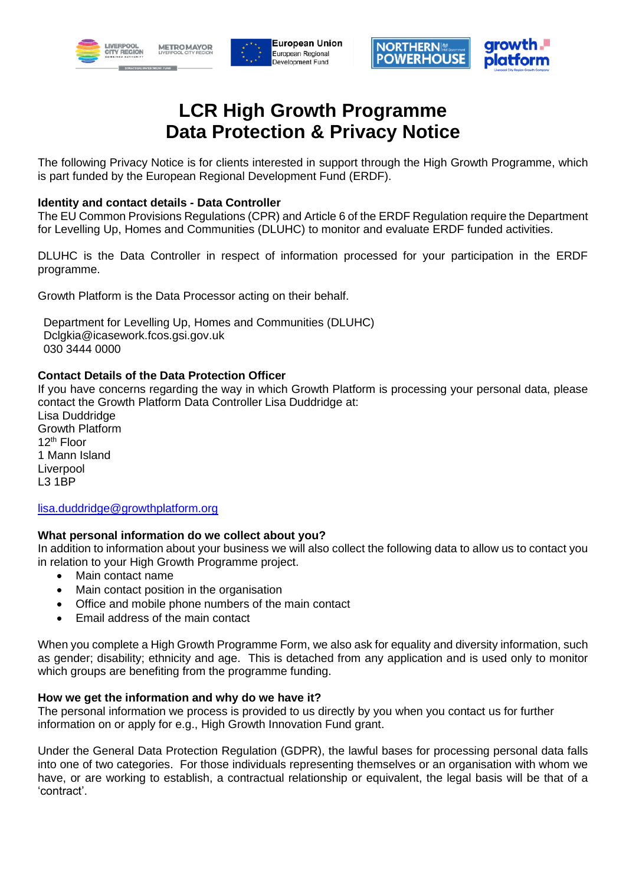







# **LCR High Growth Programme Data Protection & Privacy Notice**

The following Privacy Notice is for clients interested in support through the High Growth Programme, which is part funded by the European Regional Development Fund (ERDF).

# **Identity and contact details - Data Controller**

The EU Common Provisions Regulations (CPR) and Article 6 of the ERDF Regulation require the Department for Levelling Up, Homes and Communities (DLUHC) to monitor and evaluate ERDF funded activities.

DLUHC is the Data Controller in respect of information processed for your participation in the ERDF programme.

Growth Platform is the Data Processor acting on their behalf.

Department for Levelling Up, Homes and Communities (DLUHC) Dclgkia@icasework.fcos.gsi.gov.uk 030 3444 0000

# **Contact Details of the Data Protection Officer**

If you have concerns regarding the way in which Growth Platform is processing your personal data, please contact the Growth Platform Data Controller Lisa Duddridge at:

Lisa Duddridge Growth Platform 12th Floor 1 Mann Island Liverpool L3 1BP

## [lisa.duddridge@growthplatform.org](mailto:lisa.duddridge@growthplatform.org)

## **What personal information do we collect about you?**

In addition to information about your business we will also collect the following data to allow us to contact you in relation to your High Growth Programme project.

- Main contact name
- Main contact position in the organisation
- Office and mobile phone numbers of the main contact
- Email address of the main contact

When you complete a High Growth Programme Form, we also ask for equality and diversity information, such as gender; disability; ethnicity and age. This is detached from any application and is used only to monitor which groups are benefiting from the programme funding.

## **How we get the information and why do we have it?**

The personal information we process is provided to us directly by you when you contact us for further information on or apply for e.g., High Growth Innovation Fund grant.

Under the General Data Protection Regulation (GDPR), the lawful bases for processing personal data falls into one of two categories. For those individuals representing themselves or an organisation with whom we have, or are working to establish, a contractual relationship or equivalent, the legal basis will be that of a 'contract'.